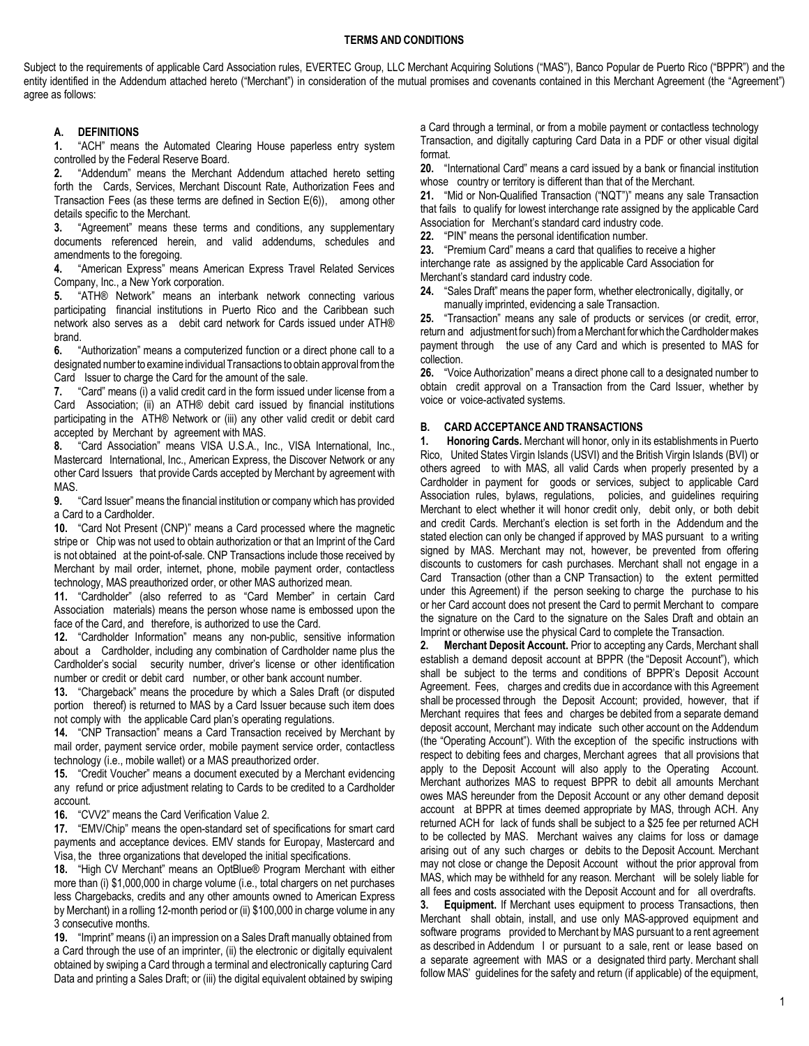#### **TERMS AND CONDITIONS**

Subject to the requirements of applicable Card Association rules, EVERTEC Group, LLC Merchant Acquiring Solutions ("MAS"), Banco Popular de Puerto Rico ("BPPR") and the entity identified in the Addendum attached hereto ("Merchant") in consideration of the mutual promises and covenants contained in this Merchant Agreement (the "Agreement") agree as follows:

# **A. DEFINITIONS**

**1.** "ACH" means the Automated Clearing House paperless entry system controlled by the Federal Reserve Board.

**2.** "Addendum" means the Merchant Addendum attached hereto setting forth the Cards, Services, Merchant Discount Rate, Authorization Fees and Transaction Fees (as these terms are defined in Section E(6)), among other details specific to the Merchant.

**3.** "Agreement" means these terms and conditions, any supplementary documents referenced herein, and valid addendums, schedules and amendments to the foregoing.

**4.** "American Express" means American Express Travel Related Services Company, Inc., a New York corporation.

**5.** "ATH® Network" means an interbank network connecting various participating financial institutions in Puerto Rico and the Caribbean such network also serves as a debit card network for Cards issued under ATH® brand.

**6.** "Authorization" means a computerized function or a direct phone call to a designated number to examine individual Transactions to obtain approval fromthe Card Issuer to charge the Card for the amount of the sale.

**7.** "Card" means (i) a valid credit card in the form issued under license from a Card Association; (ii) an ATH® debit card issued by financial institutions participating in the ATH® Network or (iii) any other valid credit or debit card accepted by Merchant by agreement with MAS.

**8.** "Card Association" means VISA U.S.A., Inc., VISA International, Inc., Mastercard International, Inc., American Express, the Discover Network or any other Card Issuers that provide Cards accepted by Merchant by agreement with MAS.

**9.** "Card Issuer" means the financial institution or company which has provided a Card to a Cardholder.

**10.** "Card Not Present (CNP)" means a Card processed where the magnetic stripe or Chip was not used to obtain authorization or that an Imprint of the Card is not obtained at the point-of-sale. CNP Transactions include those received by Merchant by mail order, internet, phone, mobile payment order, contactless technology, MAS preauthorized order, or other MAS authorized mean.

**11.** "Cardholder" (also referred to as "Card Member" in certain Card Association materials) means the person whose name is embossed upon the face of the Card, and therefore, is authorized to use the Card.

**12.** "Cardholder Information" means any non-public, sensitive information about a Cardholder, including any combination of Cardholder name plus the Cardholder's social security number, driver's license or other identification number or credit or debit card number, or other bank account number.

**13.** "Chargeback" means the procedure by which a Sales Draft (or disputed portion thereof) is returned to MAS by a Card Issuer because such item does not comply with the applicable Card plan's operating regulations.

**14.** "CNP Transaction" means a Card Transaction received by Merchant by mail order, payment service order, mobile payment service order, contactless technology (i.e., mobile wallet) or a MAS preauthorized order.

**15.** "Credit Voucher" means a document executed by a Merchant evidencing any refund or price adjustment relating to Cards to be credited to a Cardholder account.

**16.** "CVV2" means the Card Verification Value 2.

**17.** "EMV/Chip" means the open-standard set of specifications for smart card payments and acceptance devices. EMV stands for Europay, Mastercard and Visa, the three organizations that developed the initial specifications.

**18.** "High CV Merchant" means an OptBlue® Program Merchant with either more than (i) \$1,000,000 in charge volume (i.e., total chargers on net purchases less Chargebacks, credits and any other amounts owned to American Express by Merchant) in a rolling 12-month period or (ii) \$100,000 in charge volume in any 3 consecutive months.

**19.** "Imprint" means (i) an impression on a Sales Draft manually obtained from a Card through the use of an imprinter, (ii) the electronic or digitally equivalent obtained by swiping a Card through a terminal and electronically capturing Card Data and printing a Sales Draft; or (iii) the digital equivalent obtained by swiping a Card through a terminal, or from a mobile payment or contactless technology Transaction, and digitally capturing Card Data in a PDF or other visual digital format.

**20.** "International Card" means a card issued by a bank or financial institution whose country or territory is different than that of the Merchant.

**21.** "Mid or Non-Qualified Transaction ("NQT")" means any sale Transaction that fails to qualify for lowest interchange rate assigned by the applicable Card Association for Merchant's standard card industry code.

**22.** "PIN" means the personal identification number.

**23.** "Premium Card" means a card that qualifies to receive a higher interchange rate as assigned by the applicable Card Association for Merchant's standard card industry code.

**24.** "Sales Draft" means the paper form, whether electronically, digitally, or manually imprinted, evidencing a sale Transaction.

**25.** "Transaction" means any sale of products or services (or credit, error, return and adjustment for such) from a Merchant for which the Cardholder makes payment through the use of any Card and which is presented to MAS for collection.

**26.** "Voice Authorization" means a direct phone call to a designated number to obtain credit approval on a Transaction from the Card Issuer, whether by voice or voice-activated systems.

### **B. CARD ACCEPTANCE AND TRANSACTIONS**

**1. Honoring Cards.** Merchant will honor, only in its establishments in Puerto Rico, United States Virgin Islands (USVI) and the British Virgin Islands (BVI) or others agreed to with MAS, all valid Cards when properly presented by a Cardholder in payment for goods or services, subject to applicable Card Association rules, bylaws, regulations, policies, and guidelines requiring Merchant to elect whether it will honor credit only, debit only, or both debit and credit Cards. Merchant's election is set forth in the Addendum and the stated election can only be changed if approved by MAS pursuant to a writing signed by MAS. Merchant may not, however, be prevented from offering discounts to customers for cash purchases. Merchant shall not engage in a Card Transaction (other than a CNP Transaction) to the extent permitted under this Agreement) if the person seeking to charge the purchase to his or her Card account does not present the Card to permit Merchant to compare the signature on the Card to the signature on the Sales Draft and obtain an Imprint or otherwise use the physical Card to complete the Transaction.

**2. Merchant Deposit Account.** Prior to accepting any Cards, Merchant shall establish a demand deposit account at BPPR (the "Deposit Account"), which shall be subject to the terms and conditions of BPPR's Deposit Account Agreement. Fees, charges and credits due in accordance with this Agreement shall be processed through the Deposit Account; provided, however, that if Merchant requires that fees and charges be debited from a separate demand deposit account, Merchant may indicate such other account on the Addendum (the "Operating Account"). With the exception of the specific instructions with respect to debiting fees and charges, Merchant agrees that all provisions that apply to the Deposit Account will also apply to the Operating Account. Merchant authorizes MAS to request BPPR to debit all amounts Merchant owes MAS hereunder from the Deposit Account or any other demand deposit account at BPPR at times deemed appropriate by MAS, through ACH. Any returned ACH for lack of funds shall be subject to a \$25 fee per returned ACH to be collected by MAS. Merchant waives any claims for loss or damage arising out of any such charges or debits to the Deposit Account. Merchant may not close or change the Deposit Account without the prior approval from MAS, which may be withheld for any reason. Merchant will be solely liable for all fees and costs associated with the Deposit Account and for all overdrafts.

**3. Equipment.** If Merchant uses equipment to process Transactions, then Merchant shall obtain, install, and use only MAS-approved equipment and software programs provided to Merchant by MAS pursuant to a rent agreement as described in Addendum I or pursuant to a sale, rent or lease based on a separate agreement with MAS or a designated third party. Merchant shall follow MAS' guidelines for the safety and return (if applicable) of the equipment,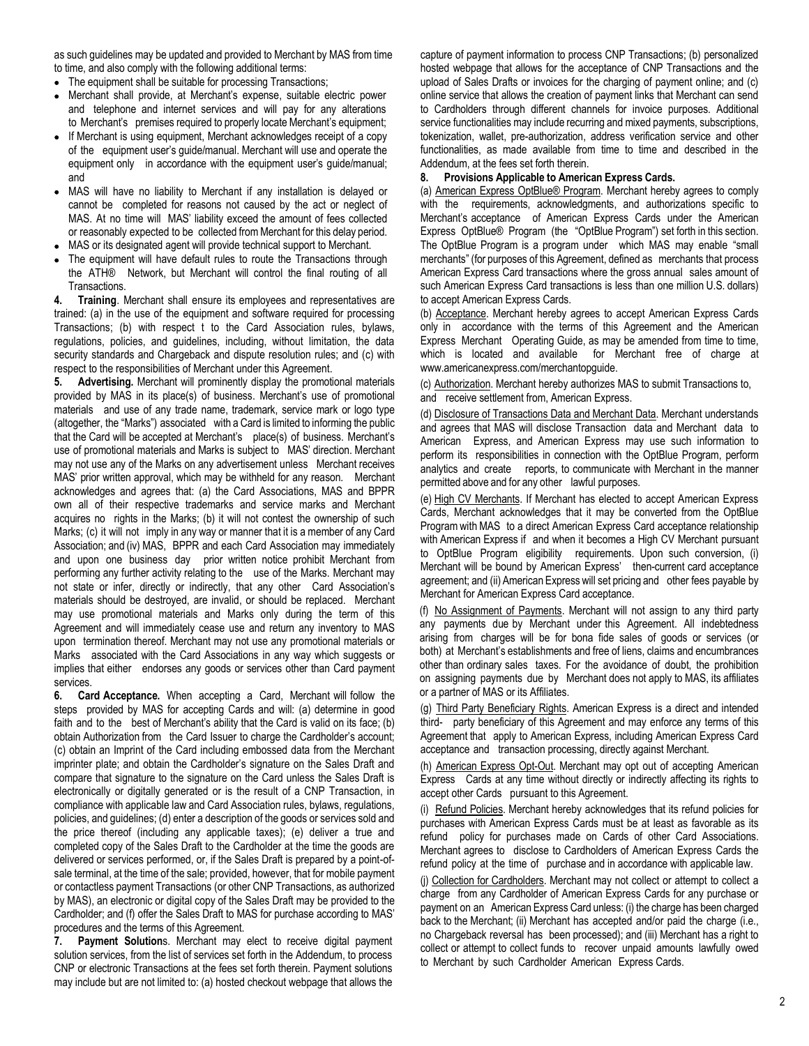as such guidelines may be updated and provided to Merchant by MAS from time to time, and also comply with the following additional terms:

- The equipment shall be suitable for processing Transactions;
- Merchant shall provide, at Merchant's expense, suitable electric power and telephone and internet services and will pay for any alterations to Merchant's premises required to properly locate Merchant's equipment;
- If Merchant is using equipment, Merchant acknowledges receipt of a copy of the equipment user's guide/manual. Merchant will use and operate the equipment only in accordance with the equipment user's guide/manual; and
- MAS will have no liability to Merchant if any installation is delayed or cannot be completed for reasons not caused by the act or neglect of MAS. At no time will MAS' liability exceed the amount of fees collected or reasonably expected to be collected from Merchant for this delay period.
- MAS or its designated agent will provide technical support to Merchant.
- The equipment will have default rules to route the Transactions through the ATH® Network, but Merchant will control the final routing of all Transactions.

**4. Training**. Merchant shall ensure its employees and representatives are trained: (a) in the use of the equipment and software required for processing Transactions; (b) with respect t to the Card Association rules, bylaws, regulations, policies, and guidelines, including, without limitation, the data security standards and Chargeback and dispute resolution rules; and (c) with respect to the responsibilities of Merchant under this Agreement.

**5. Advertising.** Merchant will prominently display the promotional materials provided by MAS in its place(s) of business. Merchant's use of promotional materials and use of any trade name, trademark, service mark or logo type (altogether, the "Marks") associated with a Card is limited to informing the public that the Card will be accepted at Merchant's place(s) of business. Merchant's use of promotional materials and Marks is subject to MAS' direction. Merchant may not use any of the Marks on any advertisement unless Merchant receives MAS' prior written approval, which may be withheld for any reason. Merchant acknowledges and agrees that: (a) the Card Associations, MAS and BPPR own all of their respective trademarks and service marks and Merchant acquires no rights in the Marks; (b) it will not contest the ownership of such Marks; (c) it will not imply in any way or manner that it is a member of any Card Association; and (iv) MAS, BPPR and each Card Association may immediately and upon one business day prior written notice prohibit Merchant from performing any further activity relating to the use of the Marks. Merchant may not state or infer, directly or indirectly, that any other Card Association's materials should be destroyed, are invalid, or should be replaced. Merchant may use promotional materials and Marks only during the term of this Agreement and will immediately cease use and return any inventory to MAS upon termination thereof. Merchant may not use any promotional materials or Marks associated with the Card Associations in any way which suggests or implies that either endorses any goods or services other than Card payment services.

**6. Card Acceptance.** When accepting a Card, Merchant will follow the steps provided by MAS for accepting Cards and will: (a) determine in good faith and to the best of Merchant's ability that the Card is valid on its face; (b) obtain Authorization from the Card Issuer to charge the Cardholder's account; (c) obtain an Imprint of the Card including embossed data from the Merchant imprinter plate; and obtain the Cardholder's signature on the Sales Draft and compare that signature to the signature on the Card unless the Sales Draft is electronically or digitally generated or is the result of a CNP Transaction, in compliance with applicable law and Card Association rules, bylaws, regulations, policies, and guidelines; (d) enter a description of the goods or services sold and the price thereof (including any applicable taxes); (e) deliver a true and completed copy of the Sales Draft to the Cardholder at the time the goods are delivered or services performed, or, if the Sales Draft is prepared by a point-ofsale terminal, at the time of the sale; provided, however, that for mobile payment or contactless payment Transactions (or other CNP Transactions, as authorized by MAS), an electronic or digital copy of the Sales Draft may be provided to the Cardholder; and (f) offer the Sales Draft to MAS for purchase according to MAS' procedures and the terms of this Agreement.

**7. Payment Solution**s. Merchant may elect to receive digital payment solution services, from the list of services set forth in the Addendum, to process CNP or electronic Transactions at the fees set forth therein. Payment solutions may include but are not limited to: (a) hosted checkout webpage that allows the

capture of payment information to process CNP Transactions; (b) personalized hosted webpage that allows for the acceptance of CNP Transactions and the upload of Sales Drafts or invoices for the charging of payment online; and (c) online service that allows the creation of payment links that Merchant can send to Cardholders through different channels for invoice purposes. Additional service functionalities may include recurring and mixed payments, subscriptions, tokenization, wallet, pre-authorization, address verification service and other functionalities, as made available from time to time and described in the Addendum, at the fees set forth therein.

## **8. Provisions Applicable to American Express Cards.**

(a) American Express OptBlue® Program*.* Merchant hereby agrees to comply with the requirements, acknowledgments, and authorizations specific to Merchant's acceptance of American Express Cards under the American Express OptBlue® Program (the "OptBlue Program") set forth in this section. The OptBlue Program is a program under which MAS may enable "small merchants" (for purposes of this Agreement, defined as merchants that process American Express Card transactions where the gross annual sales amount of such American Express Card transactions is less than one million U.S. dollars) to accept American Express Cards.

(b) Acceptance. Merchant hereby agrees to accept American Express Cards only in accordance with the terms of this Agreement and the American Express Merchant Operating Guide, as may be amended from time to time, which is located and available for Merchant free of charge at [www.americanexpress.com/merchantopguide.](http://www.americanexpress.com/merchantopguide)

(c) Authorization. Merchant hereby authorizes MAS to submit Transactions to, and receive settlement from, American Express.

(d) Disclosure of Transactions Data and Merchant Data. Merchant understands and agrees that MAS will disclose Transaction data and Merchant data to American Express, and American Express may use such information to perform its responsibilities in connection with the OptBlue Program, perform analytics and create reports, to communicate with Merchant in the manner permitted above and for any other lawful purposes.

(e) High CV Merchants. If Merchant has elected to accept American Express Cards, Merchant acknowledges that it may be converted from the OptBlue Program with MAS to a direct American Express Card acceptance relationship with American Express if and when it becomes a High CV Merchant pursuant to OptBlue Program eligibility requirements. Upon such conversion, (i) Merchant will be bound by American Express' then-current card acceptance agreement; and (ii) American Express will set pricing and other fees payable by Merchant for American Express Card acceptance.

(f) No Assignment of Payments. Merchant will not assign to any third party any payments due by Merchant under this Agreement. All indebtedness arising from charges will be for bona fide sales of goods or services (or both) at Merchant's establishments and free of liens, claims and encumbrances other than ordinary sales taxes. For the avoidance of doubt, the prohibition on assigning payments due by Merchant does not apply to MAS, its affiliates or a partner of MAS or its Affiliates.

(g) Third Party Beneficiary Rights. American Express is a direct and intended third- party beneficiary of this Agreement and may enforce any terms of this Agreement that apply to American Express, including American Express Card acceptance and transaction processing, directly against Merchant.

(h) American Express Opt-Out. Merchant may opt out of accepting American Express Cards at any time without directly or indirectly affecting its rights to accept other Cards pursuant to this Agreement.

(i) Refund Policies. Merchant hereby acknowledges that its refund policies for purchases with American Express Cards must be at least as favorable as its refund policy for purchases made on Cards of other Card Associations. Merchant agrees to disclose to Cardholders of American Express Cards the refund policy at the time of purchase and in accordance with applicable law.

(j) Collection for Cardholders. Merchant may not collect or attempt to collect a charge from any Cardholder of American Express Cards for any purchase or payment on an American Express Card unless: (i) the charge has been charged back to the Merchant; (ii) Merchant has accepted and/or paid the charge (i.e., no Chargeback reversal has been processed); and (iii) Merchant has a right to collect or attempt to collect funds to recover unpaid amounts lawfully owed to Merchant by such Cardholder American Express Cards.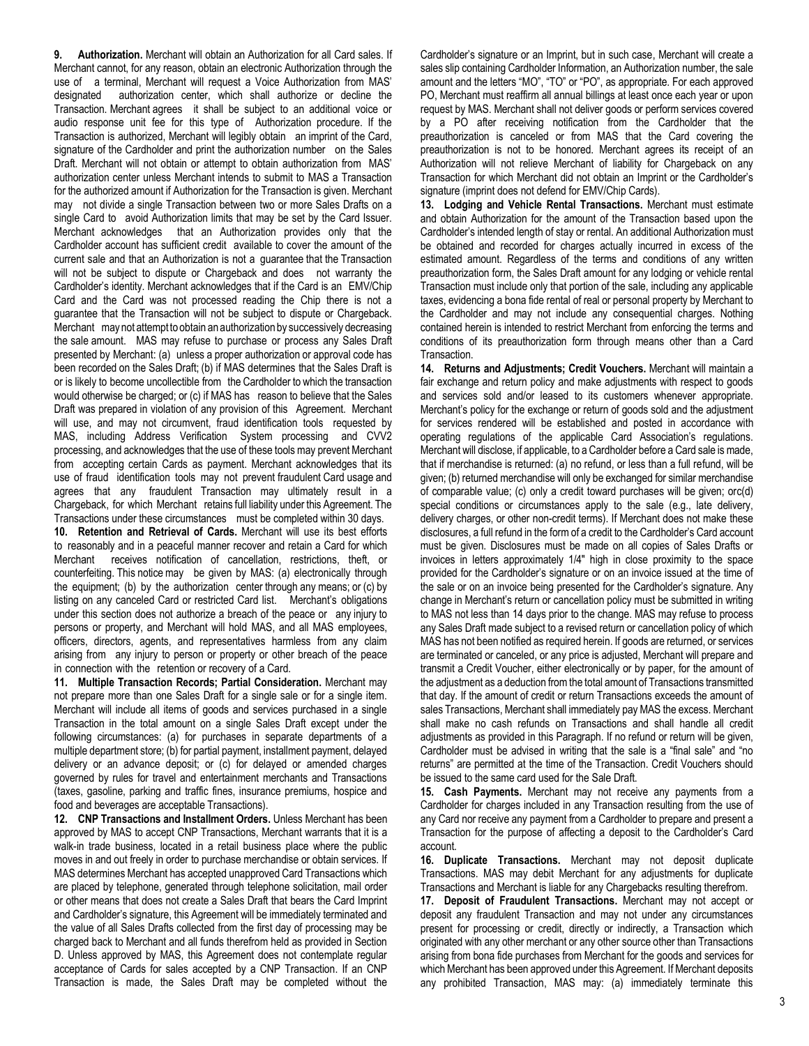**9. Authorization.** Merchant will obtain an Authorization for all Card sales. If Merchant cannot, for any reason, obtain an electronic Authorization through the use of a terminal, Merchant will request a Voice Authorization from MAS' designated authorization center, which shall authorize or decline the Transaction. Merchant agrees it shall be subject to an additional voice or audio response unit fee for this type of Authorization procedure. If the Transaction is authorized, Merchant will legibly obtain an imprint of the Card, signature of the Cardholder and print the authorization number on the Sales Draft. Merchant will not obtain or attempt to obtain authorization from MAS' authorization center unless Merchant intends to submit to MAS a Transaction for the authorized amount if Authorization for the Transaction is given. Merchant may not divide a single Transaction between two or more Sales Drafts on a single Card to avoid Authorization limits that may be set by the Card Issuer. Merchant acknowledges that an Authorization provides only that the Cardholder account has sufficient credit available to cover the amount of the current sale and that an Authorization is not a guarantee that the Transaction will not be subject to dispute or Chargeback and does not warranty the Cardholder's identity. Merchant acknowledges that if the Card is an EMV/Chip Card and the Card was not processed reading the Chip there is not a guarantee that the Transaction will not be subject to dispute or Chargeback. Merchant may not attempt to obtain an authorization by successively decreasing the sale amount. MAS may refuse to purchase or process any Sales Draft presented by Merchant: (a) unless a proper authorization or approval code has been recorded on the Sales Draft; (b) if MAS determines that the Sales Draft is or is likely to become uncollectible from the Cardholder to which the transaction would otherwise be charged; or (c) if MAS has reason to believe that the Sales Draft was prepared in violation of any provision of this Agreement. Merchant will use, and may not circumvent, fraud identification tools requested by MAS, including Address Verification System processing and CVV2 processing, and acknowledges that the use of these tools may prevent Merchant from accepting certain Cards as payment. Merchant acknowledges that its use of fraud identification tools may not prevent fraudulent Card usage and agrees that any fraudulent Transaction may ultimately result in a Chargeback, for which Merchant retains full liability under this Agreement. The Transactions under these circumstances must be completed within 30 days.

**10. Retention and Retrieval of Cards.** Merchant will use its best efforts to reasonably and in a peaceful manner recover and retain a Card for which Merchant receives notification of cancellation, restrictions, theft, or counterfeiting. This notice may be given by MAS: (a) electronically through the equipment; (b) by the authorization center through any means; or (c) by listing on any canceled Card or restricted Card list. Merchant's obligations under this section does not authorize a breach of the peace or any injury to persons or property, and Merchant will hold MAS, and all MAS employees, officers, directors, agents, and representatives harmless from any claim arising from any injury to person or property or other breach of the peace in connection with the retention or recovery of a Card.

**11. Multiple Transaction Records; Partial Consideration.** Merchant may not prepare more than one Sales Draft for a single sale or for a single item. Merchant will include all items of goods and services purchased in a single Transaction in the total amount on a single Sales Draft except under the following circumstances: (a) for purchases in separate departments of a multiple department store; (b) for partial payment, installment payment, delayed delivery or an advance deposit; or (c) for delayed or amended charges governed by rules for travel and entertainment merchants and Transactions (taxes, gasoline, parking and traffic fines, insurance premiums, hospice and food and beverages are acceptable Transactions).

**12. CNP Transactions and Installment Orders.** Unless Merchant has been approved by MAS to accept CNP Transactions, Merchant warrants that it is a walk-in trade business, located in a retail business place where the public moves in and out freely in order to purchase merchandise or obtain services. If MAS determines Merchant has accepted unapproved Card Transactions which are placed by telephone, generated through telephone solicitation, mail order or other means that does not create a Sales Draft that bears the Card Imprint and Cardholder's signature, this Agreement will be immediately terminated and the value of all Sales Drafts collected from the first day of processing may be charged back to Merchant and all funds therefrom held as provided in Section D. Unless approved by MAS, this Agreement does not contemplate regular acceptance of Cards for sales accepted by a CNP Transaction. If an CNP Transaction is made, the Sales Draft may be completed without the

Cardholder's signature or an Imprint, but in such case, Merchant will create a sales slip containing Cardholder Information, an Authorization number, the sale amount and the letters "MO", "TO" or "PO", as appropriate. For each approved PO, Merchant must reaffirm all annual billings at least once each year or upon request by MAS. Merchant shall not deliver goods or perform services covered by a PO after receiving notification from the Cardholder that the preauthorization is canceled or from MAS that the Card covering the preauthorization is not to be honored. Merchant agrees its receipt of an Authorization will not relieve Merchant of liability for Chargeback on any Transaction for which Merchant did not obtain an Imprint or the Cardholder's signature (imprint does not defend for EMV/Chip Cards).

**13. Lodging and Vehicle Rental Transactions.** Merchant must estimate and obtain Authorization for the amount of the Transaction based upon the Cardholder's intended length of stay or rental. An additional Authorization must be obtained and recorded for charges actually incurred in excess of the estimated amount. Regardless of the terms and conditions of any written preauthorization form, the Sales Draft amount for any lodging or vehicle rental Transaction must include only that portion of the sale, including any applicable taxes, evidencing a bona fide rental of real or personal property by Merchant to the Cardholder and may not include any consequential charges. Nothing contained herein is intended to restrict Merchant from enforcing the terms and conditions of its preauthorization form through means other than a Card Transaction.

**14. Returns and Adjustments; Credit Vouchers.** Merchant will maintain a fair exchange and return policy and make adjustments with respect to goods and services sold and/or leased to its customers whenever appropriate. Merchant's policy for the exchange or return of goods sold and the adjustment for services rendered will be established and posted in accordance with operating regulations of the applicable Card Association's regulations. Merchant will disclose, if applicable, to a Cardholder before a Card sale is made, that if merchandise is returned: (a) no refund, or less than a full refund, will be given; (b) returned merchandise will only be exchanged for similar merchandise of comparable value; (c) only a credit toward purchases will be given; orc(d) special conditions or circumstances apply to the sale (e.g., late delivery, delivery charges, or other non-credit terms). If Merchant does not make these disclosures, a full refund in the form of a credit to the Cardholder's Card account must be given. Disclosures must be made on all copies of Sales Drafts or invoices in letters approximately 1/4" high in close proximity to the space provided for the Cardholder's signature or on an invoice issued at the time of the sale or on an invoice being presented for the Cardholder's signature. Any change in Merchant's return or cancellation policy must be submitted in writing to MAS not less than 14 days prior to the change. MAS may refuse to process any Sales Draft made subject to a revised return or cancellation policy of which MAS has not been notified as required herein. If goods are returned, or services are terminated or canceled, or any price is adjusted, Merchant will prepare and transmit a Credit Voucher, either electronically or by paper, for the amount of the adjustment as a deduction from the total amount of Transactions transmitted that day. If the amount of credit or return Transactions exceeds the amount of sales Transactions, Merchant shall immediately pay MAS the excess. Merchant shall make no cash refunds on Transactions and shall handle all credit adjustments as provided in this Paragraph. If no refund or return will be given, Cardholder must be advised in writing that the sale is a "final sale" and "no returns" are permitted at the time of the Transaction. Credit Vouchers should be issued to the same card used for the Sale Draft.

**15. Cash Payments.** Merchant may not receive any payments from a Cardholder for charges included in any Transaction resulting from the use of any Card nor receive any payment from a Cardholder to prepare and present a Transaction for the purpose of affecting a deposit to the Cardholder's Card account.

**16. Duplicate Transactions.** Merchant may not deposit duplicate Transactions. MAS may debit Merchant for any adjustments for duplicate Transactions and Merchant is liable for any Chargebacks resulting therefrom.

**17. Deposit of Fraudulent Transactions.** Merchant may not accept or deposit any fraudulent Transaction and may not under any circumstances present for processing or credit, directly or indirectly, a Transaction which originated with any other merchant or any other source other than Transactions arising from bona fide purchases from Merchant for the goods and services for which Merchant has been approved under this Agreement. If Merchant deposits any prohibited Transaction, MAS may: (a) immediately terminate this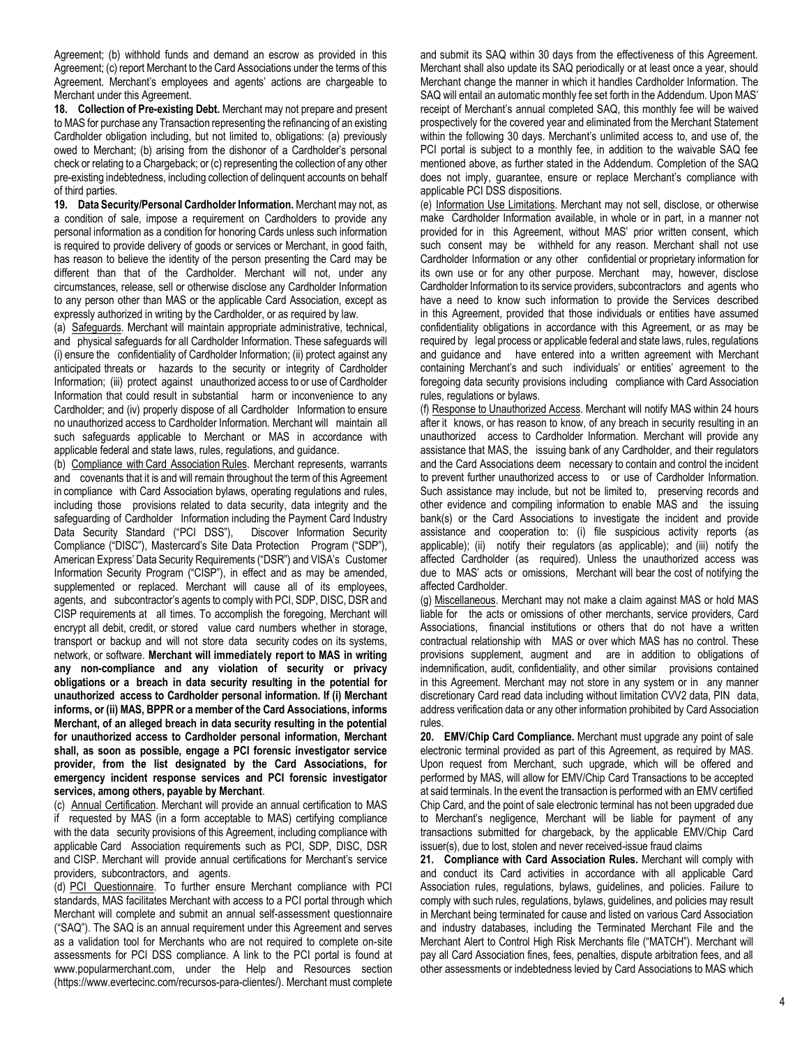Agreement; (b) withhold funds and demand an escrow as provided in this Agreement; (c) report Merchant to the Card Associations under the terms of this Agreement. Merchant's employees and agents' actions are chargeable to Merchant under this Agreement.

**18. Collection of Pre-existing Debt.** Merchant may not prepare and present to MAS for purchase any Transaction representing the refinancing of an existing Cardholder obligation including, but not limited to, obligations: (a) previously owed to Merchant; (b) arising from the dishonor of a Cardholder's personal check or relating to a Chargeback; or (c) representing the collection of any other pre-existing indebtedness, including collection of delinquent accounts on behalf of third parties.

**19. Data Security/Personal Cardholder Information.** Merchant may not, as a condition of sale, impose a requirement on Cardholders to provide any personal information as a condition for honoring Cards unless such information is required to provide delivery of goods or services or Merchant, in good faith, has reason to believe the identity of the person presenting the Card may be different than that of the Cardholder. Merchant will not, under any circumstances, release, sell or otherwise disclose any Cardholder Information to any person other than MAS or the applicable Card Association, except as expressly authorized in writing by the Cardholder, or as required by law.

(a) Safeguards. Merchant will maintain appropriate administrative, technical, and physical safeguards for all Cardholder Information. These safeguards will (i) ensure the confidentiality of Cardholder Information; (ii) protect against any anticipated threats or hazards to the security or integrity of Cardholder Information; (iii) protect against unauthorized access to or use of Cardholder Information that could result in substantial harm or inconvenience to any Cardholder; and (iv) properly dispose of all Cardholder Information to ensure no unauthorized access to Cardholder Information. Merchant will maintain all such safeguards applicable to Merchant or MAS in accordance with applicable federal and state laws, rules, regulations, and guidance.

(b) Compliance with Card Association Rules. Merchant represents, warrants and covenants that it is and will remain throughout the term of this Agreement in compliance with Card Association bylaws, operating regulations and rules, including those provisions related to data security, data integrity and the safeguarding of Cardholder Information including the Payment Card Industry Data Security Standard ("PCI DSS"), Discover Information Security Compliance ("DISC"), Mastercard's Site Data Protection Program ("SDP"), American Express' Data Security Requirements ("DSR") and VISA's Customer Information Security Program ("CISP"), in effect and as may be amended, supplemented or replaced. Merchant will cause all of its employees, agents, and subcontractor's agents to comply with PCI, SDP, DISC, DSR and CISP requirements at all times. To accomplish the foregoing, Merchant will encrypt all debit, credit, or stored value card numbers whether in storage, transport or backup and will not store data security codes on its systems, network, or software. **Merchant will immediately report to MAS in writing any non-compliance and any violation of security or privacy obligations or a breach in data security resulting in the potential for unauthorized access to Cardholder personal information. If (i) Merchant informs, or (ii) MAS, BPPR or a member of the Card Associations, informs Merchant, of an alleged breach in data security resulting in the potential for unauthorized access to Cardholder personal information, Merchant shall, as soon as possible, engage a PCI forensic investigator service provider, from the list designated by the Card Associations, for emergency incident response services and PCI forensic investigator services, among others, payable by Merchant**.

(c) Annual Certification. Merchant will provide an annual certification to MAS if requested by MAS (in a form acceptable to MAS) certifying compliance with the data security provisions of this Agreement, including compliance with applicable Card Association requirements such as PCI, SDP, DISC, DSR and CISP. Merchant will provide annual certifications for Merchant's service providers, subcontractors, and agents.

(d) PCI Questionnaire. To further ensure Merchant compliance with PCI standards, MAS facilitates Merchant with access to a PCI portal through which Merchant will complete and submit an annual self-assessment questionnaire ("SAQ"). The SAQ is an annual requirement under this Agreement and serves as a validation tool for Merchants who are not required to complete on-site assessments for PCI DSS compliance. A link to the PCI portal is found at [www.popularmerchant.com,](http://www.popularmerchant.com/) under the Help and Resources section (https://www.evertecinc.com/recursos-para-clientes/). Merchant must complete

and submit its SAQ within 30 days from the effectiveness of this Agreement. Merchant shall also update its SAQ periodically or at least once a year, should Merchant change the manner in which it handles Cardholder Information. The SAQ will entail an automatic monthly fee set forth in the Addendum. Upon MAS' receipt of Merchant's annual completed SAQ, this monthly fee will be waived prospectively for the covered year and eliminated from the Merchant Statement within the following 30 days. Merchant's unlimited access to, and use of, the PCI portal is subject to a monthly fee, in addition to the waivable SAQ fee mentioned above, as further stated in the Addendum. Completion of the SAQ does not imply, guarantee, ensure or replace Merchant's compliance with applicable PCI DSS dispositions.

(e) Information Use Limitations. Merchant may not sell, disclose, or otherwise make Cardholder Information available, in whole or in part, in a manner not provided for in this Agreement, without MAS' prior written consent, which such consent may be withheld for any reason. Merchant shall not use Cardholder Information or any other confidential or proprietary information for its own use or for any other purpose. Merchant may, however, disclose Cardholder Information to its service providers, subcontractors and agents who have a need to know such information to provide the Services described in this Agreement, provided that those individuals or entities have assumed confidentiality obligations in accordance with this Agreement, or as may be required by legal process or applicable federal and state laws, rules, regulations and guidance and have entered into a written agreement with Merchant containing Merchant's and such individuals' or entities' agreement to the foregoing data security provisions including compliance with Card Association rules, regulations or bylaws.

(f) Response to Unauthorized Access. Merchant will notify MAS within 24 hours after it knows, or has reason to know, of any breach in security resulting in an unauthorized access to Cardholder Information. Merchant will provide any assistance that MAS, the issuing bank of any Cardholder, and their regulators and the Card Associations deem necessary to contain and control the incident to prevent further unauthorized access to or use of Cardholder Information. Such assistance may include, but not be limited to, preserving records and other evidence and compiling information to enable MAS and the issuing bank(s) or the Card Associations to investigate the incident and provide assistance and cooperation to: (i) file suspicious activity reports (as applicable); (ii) notify their regulators (as applicable); and (iii) notify the affected Cardholder (as required). Unless the unauthorized access was due to MAS' acts or omissions, Merchant will bear the cost of notifying the affected Cardholder.

(g) Miscellaneous. Merchant may not make a claim against MAS or hold MAS liable for the acts or omissions of other merchants, service providers, Card Associations, financial institutions or others that do not have a written contractual relationship with MAS or over which MAS has no control. These provisions supplement, augment and are in addition to obligations of indemnification, audit, confidentiality, and other similar provisions contained in this Agreement. Merchant may not store in any system or in any manner discretionary Card read data including without limitation CVV2 data, PIN data, address verification data or any other information prohibited by Card Association rules.

**20. EMV/Chip Card Compliance.** Merchant must upgrade any point of sale electronic terminal provided as part of this Agreement, as required by MAS. Upon request from Merchant, such upgrade, which will be offered and performed by MAS, will allow for EMV/Chip Card Transactions to be accepted at said terminals. In the event the transaction is performed with an EMV certified Chip Card, and the point of sale electronic terminal has not been upgraded due to Merchant's negligence, Merchant will be liable for payment of any transactions submitted for chargeback, by the applicable EMV/Chip Card issuer(s), due to lost, stolen and never received-issue fraud claims

**21. Compliance with Card Association Rules.** Merchant will comply with and conduct its Card activities in accordance with all applicable Card Association rules, regulations, bylaws, guidelines, and policies. Failure to comply with such rules, regulations, bylaws, guidelines, and policies may result in Merchant being terminated for cause and listed on various Card Association and industry databases, including the Terminated Merchant File and the Merchant Alert to Control High Risk Merchants file ("MATCH"). Merchant will pay all Card Association fines, fees, penalties, dispute arbitration fees, and all other assessments or indebtedness levied by Card Associations to MAS which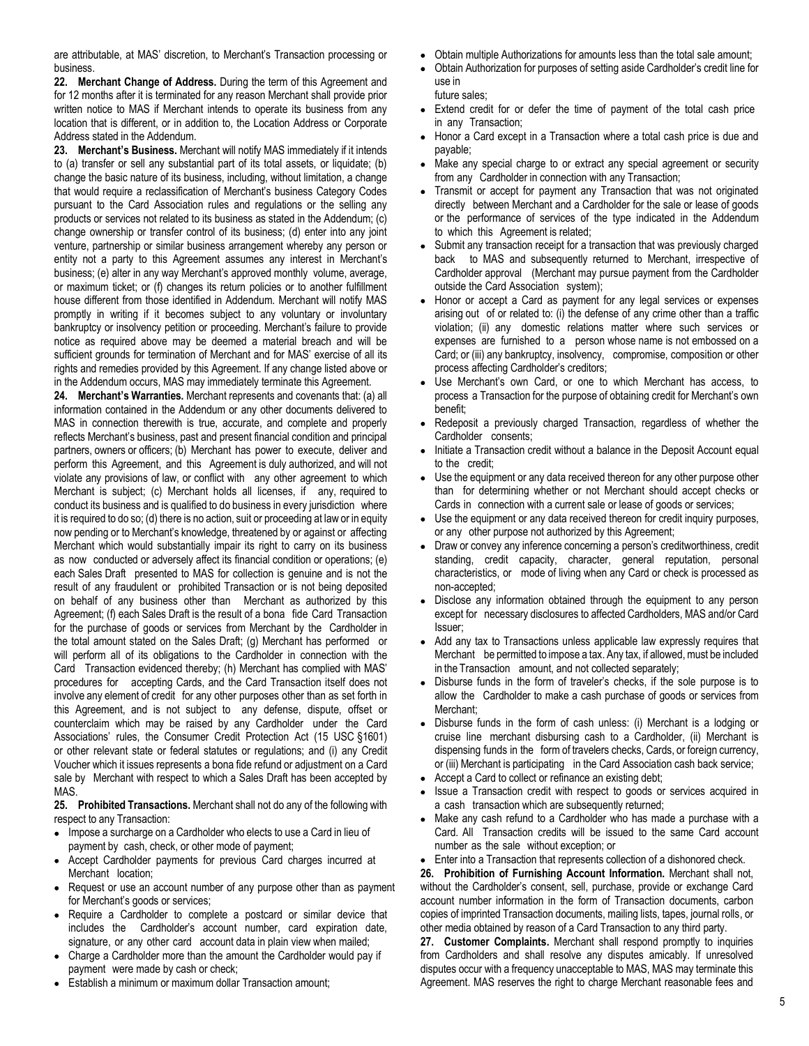are attributable, at MAS' discretion, to Merchant's Transaction processing or business.

**22. Merchant Change of Address.** During the term of this Agreement and for 12 months after it is terminated for any reason Merchant shall provide prior written notice to MAS if Merchant intends to operate its business from any location that is different, or in addition to, the Location Address or Corporate Address stated in the Addendum.

**23. Merchant's Business.** Merchant will notify MAS immediately if it intends to (a) transfer or sell any substantial part of its total assets, or liquidate; (b) change the basic nature of its business, including, without limitation, a change that would require a reclassification of Merchant's business Category Codes pursuant to the Card Association rules and regulations or the selling any products or services not related to its business as stated in the Addendum; (c) change ownership or transfer control of its business; (d) enter into any joint venture, partnership or similar business arrangement whereby any person or entity not a party to this Agreement assumes any interest in Merchant's business; (e) alter in any way Merchant's approved monthly volume, average, or maximum ticket; or (f) changes its return policies or to another fulfillment house different from those identified in Addendum. Merchant will notify MAS promptly in writing if it becomes subject to any voluntary or involuntary bankruptcy or insolvency petition or proceeding. Merchant's failure to provide notice as required above may be deemed a material breach and will be sufficient grounds for termination of Merchant and for MAS' exercise of all its rights and remedies provided by this Agreement. If any change listed above or in the Addendum occurs, MAS may immediately terminate this Agreement.

**24. Merchant's Warranties.** Merchant represents and covenants that: (a) all information contained in the Addendum or any other documents delivered to MAS in connection therewith is true, accurate, and complete and properly reflects Merchant's business, past and present financial condition and principal partners, owners or officers; (b) Merchant has power to execute, deliver and perform this Agreement, and this Agreement is duly authorized, and will not violate any provisions of law, or conflict with any other agreement to which Merchant is subject; (c) Merchant holds all licenses, if any, required to conduct its business and is qualified to do business in every jurisdiction where it is required to do so; (d) there is no action, suit or proceeding at law or in equity now pending or to Merchant's knowledge, threatened by or against or affecting Merchant which would substantially impair its right to carry on its business as now conducted or adversely affect its financial condition or operations; (e) each Sales Draft presented to MAS for collection is genuine and is not the result of any fraudulent or prohibited Transaction or is not being deposited on behalf of any business other than Merchant as authorized by this Agreement; (f) each Sales Draft is the result of a bona fide Card Transaction for the purchase of goods or services from Merchant by the Cardholder in the total amount stated on the Sales Draft; (g) Merchant has performed or will perform all of its obligations to the Cardholder in connection with the Card Transaction evidenced thereby; (h) Merchant has complied with MAS' procedures for accepting Cards, and the Card Transaction itself does not involve any element of credit for any other purposes other than as set forth in this Agreement, and is not subject to any defense, dispute, offset or counterclaim which may be raised by any Cardholder under the Card Associations' rules, the Consumer Credit Protection Act (15 USC §1601) or other relevant state or federal statutes or regulations; and (i) any Credit Voucher which it issues represents a bona fide refund or adjustment on a Card sale by Merchant with respect to which a Sales Draft has been accepted by MAS.

**25. Prohibited Transactions.** Merchant shall not do any of the following with respect to any Transaction:

- Impose a surcharge on a Cardholder who elects to use a Card in lieu of payment by cash, check, or other mode of payment;
- Accept Cardholder payments for previous Card charges incurred at Merchant location;
- Request or use an account number of any purpose other than as payment for Merchant's goods or services;
- Require a Cardholder to complete a postcard or similar device that includes the Cardholder's account number, card expiration date, signature, or any other card account data in plain view when mailed;
- Charge a Cardholder more than the amount the Cardholder would pay if payment were made by cash or check;
- Establish a minimum or maximum dollar Transaction amount;
- Obtain multiple Authorizations for amounts less than the total sale amount;
- Obtain Authorization for purposes of setting aside Cardholder's credit line for use in future sales;
- Extend credit for or defer the time of payment of the total cash price in any Transaction;
- Honor a Card except in a Transaction where a total cash price is due and payable;
- Make any special charge to or extract any special agreement or security from any Cardholder in connection with any Transaction;
- Transmit or accept for payment any Transaction that was not originated directly between Merchant and a Cardholder for the sale or lease of goods or the performance of services of the type indicated in the Addendum to which this Agreement is related;
- Submit any transaction receipt for a transaction that was previously charged back to MAS and subsequently returned to Merchant, irrespective of Cardholder approval (Merchant may pursue payment from the Cardholder outside the Card Association system);
- Honor or accept a Card as payment for any legal services or expenses arising out of or related to: (i) the defense of any crime other than a traffic violation; (ii) any domestic relations matter where such services or expenses are furnished to a person whose name is not embossed on a Card; or (iii) any bankruptcy, insolvency, compromise, composition or other process affecting Cardholder's creditors;
- Use Merchant's own Card, or one to which Merchant has access, to process a Transaction for the purpose of obtaining credit for Merchant's own benefit;
- Redeposit a previously charged Transaction, regardless of whether the Cardholder consents;
- Initiate a Transaction credit without a balance in the Deposit Account equal to the credit;
- Use the equipment or any data received thereon for any other purpose other than for determining whether or not Merchant should accept checks or Cards in connection with a current sale or lease of goods or services;
- Use the equipment or any data received thereon for credit inquiry purposes, or any other purpose not authorized by this Agreement;
- Draw or convey any inference concerning a person's creditworthiness, credit standing, credit capacity, character, general reputation, personal characteristics, or mode of living when any Card or check is processed as non-accepted;
- Disclose any information obtained through the equipment to any person except for necessary disclosures to affected Cardholders, MAS and/or Card Issuer;
- Add any tax to Transactions unless applicable law expressly requires that Merchant be permitted to impose a tax. Any tax, if allowed, must be included in the Transaction amount, and not collected separately;
- Disburse funds in the form of traveler's checks, if the sole purpose is to allow the Cardholder to make a cash purchase of goods or services from Merchant;
- Disburse funds in the form of cash unless: (i) Merchant is a lodging or cruise line merchant disbursing cash to a Cardholder, (ii) Merchant is dispensing funds in the form of travelers checks, Cards, or foreign currency, or (iii) Merchant is participating in the Card Association cash back service;
- Accept a Card to collect or refinance an existing debt;
- Issue a Transaction credit with respect to goods or services acquired in a cash transaction which are subsequently returned;
- Make any cash refund to a Cardholder who has made a purchase with a Card. All Transaction credits will be issued to the same Card account number as the sale without exception; or
- Enter into a Transaction that represents collection of a dishonored check.

**26. Prohibition of Furnishing Account Information.** Merchant shall not, without the Cardholder's consent, sell, purchase, provide or exchange Card account number information in the form of Transaction documents, carbon copies of imprinted Transaction documents, mailing lists, tapes, journal rolls, or other media obtained by reason of a Card Transaction to any third party.

**27. Customer Complaints.** Merchant shall respond promptly to inquiries from Cardholders and shall resolve any disputes amicably. If unresolved disputes occur with a frequency unacceptable to MAS, MAS may terminate this Agreement. MAS reserves the right to charge Merchant reasonable fees and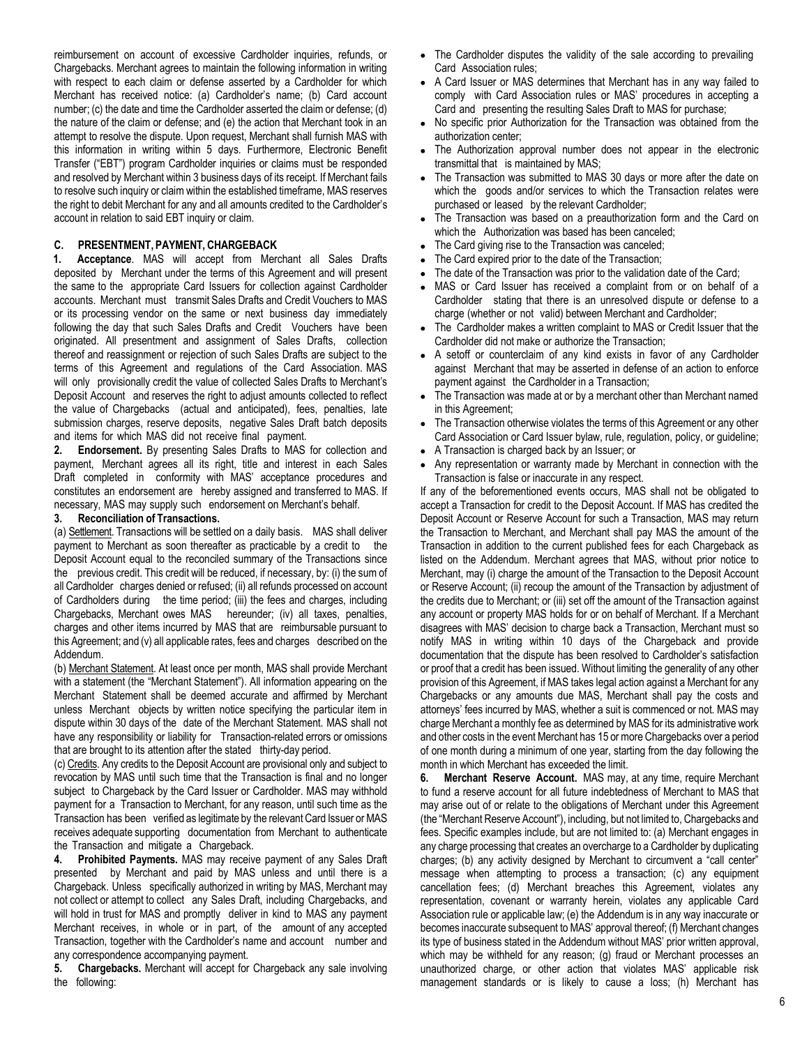reimbursement on account of excessive Cardholder inquiries, refunds, or Chargebacks. Merchant agrees to maintain the following information in writing with respect to each claim or defense asserted by a Cardholder for which Merchant has received notice: (a) Cardholder's name; (b) Card account number; (c) the date and time the Cardholder asserted the claim or defense; (d) the nature of the claim or defense; and (e) the action that Merchant took in an attempt to resolve the dispute. Upon request, Merchant shall furnish MAS with this information in writing within 5 days. Furthermore, Electronic Benefit Transfer ("EBT") program Cardholder inquiries or claims must be responded and resolved by Merchant within 3 business days of its receipt. If Merchant fails to resolve such inquiry or claim within the established timeframe, MAS reserves the right to debit Merchant for any and all amounts credited to the Cardholder's account in relation to said EBT inquiry or claim.

# **C. PRESENTMENT, PAYMENT, CHARGEBACK**

**1. Acceptance**. MAS will accept from Merchant all Sales Drafts deposited by Merchant under the terms of this Agreement and will present the same to the appropriate Card Issuers for collection against Cardholder accounts. Merchant must transmit Sales Drafts and Credit Vouchers to MAS or its processing vendor on the same or next business day immediately following the day that such Sales Drafts and Credit Vouchers have been originated. All presentment and assignment of Sales Drafts, collection thereof and reassignment or rejection of such Sales Drafts are subject to the terms of this Agreement and regulations of the Card Association. MAS will only provisionally credit the value of collected Sales Drafts to Merchant's Deposit Account and reserves the right to adjust amounts collected to reflect the value of Chargebacks (actual and anticipated), fees, penalties, late submission charges, reserve deposits, negative Sales Draft batch deposits and items for which MAS did not receive final payment.

**2. Endorsement.** By presenting Sales Drafts to MAS for collection and payment, Merchant agrees all its right, title and interest in each Sales Draft completed in conformity with MAS' acceptance procedures and constitutes an endorsement are hereby assigned and transferred to MAS. If necessary, MAS may supply such endorsement on Merchant's behalf.

### **3. Reconciliation of Transactions.**

(a) Settlement. Transactions will be settled on a daily basis. MAS shall deliver payment to Merchant as soon thereafter as practicable by a credit to the Deposit Account equal to the reconciled summary of the Transactions since the previous credit. This credit will be reduced, if necessary, by: (i) the sum of all Cardholder charges denied or refused; (ii) all refunds processed on account of Cardholders during the time period; (iii) the fees and charges, including Chargebacks, Merchant owes MAS hereunder; (iv) all taxes, penalties, charges and other items incurred by MAS that are reimbursable pursuant to this Agreement; and (v) all applicable rates, fees and charges described on the Addendum.

(b) Merchant Statement. At least once per month, MAS shall provide Merchant with a statement (the "Merchant Statement"). All information appearing on the Merchant Statement shall be deemed accurate and affirmed by Merchant unless Merchant objects by written notice specifying the particular item in dispute within 30 days of the date of the Merchant Statement. MAS shall not have any responsibility or liability for Transaction-related errors or omissions that are brought to its attention after the stated thirty-day period.

(c) Credits. Any credits to the Deposit Account are provisional only and subject to revocation by MAS until such time that the Transaction is final and no longer subject to Chargeback by the Card Issuer or Cardholder. MAS may withhold payment for a Transaction to Merchant, for any reason, until such time as the Transaction has been verified as legitimate by the relevant Card Issuer orMAS receives adequate supporting documentation from Merchant to authenticate the Transaction and mitigate a Chargeback.

**4. Prohibited Payments.** MAS may receive payment of any Sales Draft presented by Merchant and paid by MAS unless and until there is a Chargeback. Unless specifically authorized in writing by MAS, Merchant may not collect or attempt to collect any Sales Draft, including Chargebacks, and will hold in trust for MAS and promptly deliver in kind to MAS any payment Merchant receives, in whole or in part, of the amount of any accepted Transaction, together with the Cardholder's name and account number and any correspondence accompanying payment.

**5. Chargebacks.** Merchant will accept for Chargeback any sale involving the following:

- The Cardholder disputes the validity of the sale according to prevailing Card Association rules;
- A Card Issuer or MAS determines that Merchant has in any way failed to comply with Card Association rules or MAS' procedures in accepting a Card and presenting the resulting Sales Draft to MAS for purchase;
- No specific prior Authorization for the Transaction was obtained from the authorization center;
- The Authorization approval number does not appear in the electronic transmittal that is maintained by MAS;
- The Transaction was submitted to MAS 30 days or more after the date on which the goods and/or services to which the Transaction relates were purchased or leased by the relevant Cardholder;
- The Transaction was based on a preauthorization form and the Card on which the Authorization was based has been canceled;
- The Card giving rise to the Transaction was canceled;
- The Card expired prior to the date of the Transaction;
- The date of the Transaction was prior to the validation date of the Card;
- MAS or Card Issuer has received a complaint from or on behalf of a Cardholder stating that there is an unresolved dispute or defense to a charge (whether or not valid) between Merchant and Cardholder;
- The Cardholder makes a written complaint to MAS or Credit Issuer that the Cardholder did not make or authorize the Transaction;
- A setoff or counterclaim of any kind exists in favor of any Cardholder against Merchant that may be asserted in defense of an action to enforce payment against the Cardholder in a Transaction;
- The Transaction was made at or by a merchant other than Merchant named in this Agreement;
- The Transaction otherwise violates the terms of this Agreement or any other Card Association or Card Issuer bylaw, rule, regulation, policy, or guideline;
- A Transaction is charged back by an Issuer; or
- Any representation or warranty made by Merchant in connection with the Transaction is false or inaccurate in any respect.

If any of the beforementioned events occurs, MAS shall not be obligated to accept a Transaction for credit to the Deposit Account. If MAS has credited the Deposit Account or Reserve Account for such a Transaction, MAS may return the Transaction to Merchant, and Merchant shall pay MAS the amount of the Transaction in addition to the current published fees for each Chargeback as listed on the Addendum. Merchant agrees that MAS, without prior notice to Merchant, may (i) charge the amount of the Transaction to the Deposit Account or Reserve Account; (ii) recoup the amount of the Transaction by adjustment of the credits due to Merchant; or (iii) set off the amount of the Transaction against any account or property MAS holds for or on behalf of Merchant. If a Merchant disagrees with MAS' decision to charge back a Transaction, Merchant must so notify MAS in writing within 10 days of the Chargeback and provide documentation that the dispute has been resolved to Cardholder's satisfaction or proof that a credit has been issued. Without limiting the generality of any other provision of this Agreement, if MAS takes legal action against a Merchant for any Chargebacks or any amounts due MAS, Merchant shall pay the costs and attorneys' fees incurred by MAS, whether a suit is commenced or not. MAS may charge Merchant a monthly fee as determined by MAS for its administrative work and other costs in the event Merchant has 15 or more Chargebacks over a period of one month during a minimum of one year, starting from the day following the month in which Merchant has exceeded the limit.

**6. Merchant Reserve Account.** MAS may, at any time, require Merchant to fund a reserve account for all future indebtedness of Merchant to MAS that may arise out of or relate to the obligations of Merchant under this Agreement (the "Merchant Reserve Account"), including, but not limited to, Chargebacks and fees. Specific examples include, but are not limited to: (a) Merchant engages in any charge processing that creates an overcharge to a Cardholder by duplicating charges; (b) any activity designed by Merchant to circumvent a "call center" message when attempting to process a transaction; (c) any equipment cancellation fees; (d) Merchant breaches this Agreement, violates any representation, covenant or warranty herein, violates any applicable Card Association rule or applicable law; (e) the Addendum is in any way inaccurate or becomes inaccurate subsequent to MAS' approval thereof; (f) Merchant changes its type of business stated in the Addendum without MAS' prior written approval, which may be withheld for any reason; (g) fraud or Merchant processes an unauthorized charge, or other action that violates MAS' applicable risk management standards or is likely to cause a loss; (h) Merchant has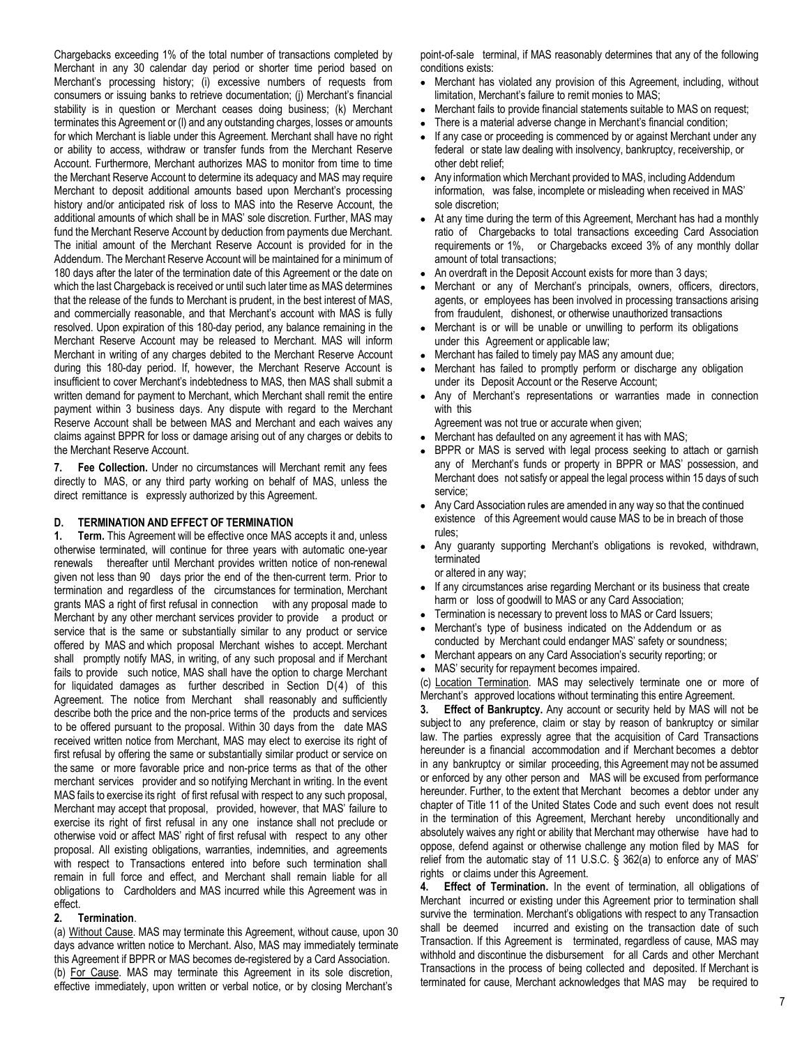Chargebacks exceeding 1% of the total number of transactions completed by Merchant in any 30 calendar day period or shorter time period based on Merchant's processing history; (i) excessive numbers of requests from consumers or issuing banks to retrieve documentation; (j) Merchant's financial stability is in question or Merchant ceases doing business; (k) Merchant terminates this Agreement or (l) and any outstanding charges, losses or amounts for which Merchant is liable under this Agreement. Merchant shall have no right or ability to access, withdraw or transfer funds from the Merchant Reserve Account. Furthermore, Merchant authorizes MAS to monitor from time to time the Merchant Reserve Account to determine its adequacy and MAS may require Merchant to deposit additional amounts based upon Merchant's processing history and/or anticipated risk of loss to MAS into the Reserve Account, the additional amounts of which shall be in MAS' sole discretion. Further, MAS may fund the Merchant Reserve Account by deduction from payments due Merchant. The initial amount of the Merchant Reserve Account is provided for in the Addendum. The Merchant Reserve Account will be maintained for a minimum of 180 days after the later of the termination date of this Agreement or the date on which the last Chargeback is received or until such later time as MAS determines that the release of the funds to Merchant is prudent, in the best interest of MAS, and commercially reasonable, and that Merchant's account with MAS is fully resolved. Upon expiration of this 180-day period, any balance remaining in the Merchant Reserve Account may be released to Merchant. MAS will inform Merchant in writing of any charges debited to the Merchant Reserve Account during this 180-day period. If, however, the Merchant Reserve Account is insufficient to cover Merchant's indebtedness to MAS, then MAS shall submit a written demand for payment to Merchant, which Merchant shall remit the entire payment within 3 business days. Any dispute with regard to the Merchant Reserve Account shall be between MAS and Merchant and each waives any claims against BPPR for loss or damage arising out of any charges or debits to the Merchant Reserve Account.

**7. Fee Collection.** Under no circumstances will Merchant remit any fees directly to MAS, or any third party working on behalf of MAS, unless the direct remittance is expressly authorized by this Agreement.

### **D. TERMINATION AND EFFECT OF TERMINATION**

**1. Term.** This Agreement will be effective once MAS accepts it and, unless otherwise terminated, will continue for three years with automatic one-year renewals thereafter until Merchant provides written notice of non-renewal given not less than 90 days prior the end of the then-current term. Prior to termination and regardless of the circumstances for termination, Merchant grants MAS a right of first refusal in connection with any proposal made to Merchant by any other merchant services provider to provide a product or service that is the same or substantially similar to any product or service offered by MAS and which proposal Merchant wishes to accept. Merchant shall promptly notify MAS, in writing, of any such proposal and if Merchant fails to provide such notice, MAS shall have the option to charge Merchant for liquidated damages as further described in Section D(4) of this Agreement. The notice from Merchant shall reasonably and sufficiently describe both the price and the non-price terms of the products and services to be offered pursuant to the proposal. Within 30 days from the date MAS received written notice from Merchant, MAS may elect to exercise its right of first refusal by offering the same or substantially similar product or service on the same or more favorable price and non-price terms as that of the other merchant services provider and so notifying Merchant in writing. In the event MAS fails to exercise its right of first refusal with respect to any such proposal. Merchant may accept that proposal, provided, however, that MAS' failure to exercise its right of first refusal in any one instance shall not preclude or otherwise void or affect MAS' right of first refusal with respect to any other proposal. All existing obligations, warranties, indemnities, and agreements with respect to Transactions entered into before such termination shall remain in full force and effect, and Merchant shall remain liable for all obligations to Cardholders and MAS incurred while this Agreement was in effect.

#### **2. Termination**.

(a) Without Cause. MAS may terminate this Agreement, without cause, upon 30 days advance written notice to Merchant. Also, MAS may immediately terminate this Agreement if BPPR or MAS becomes de-registered by a Card Association. (b) For Cause. MAS may terminate this Agreement in its sole discretion, effective immediately, upon written or verbal notice, or by closing Merchant's

point-of-sale terminal, if MAS reasonably determines that any of the following conditions exists:

- Merchant has violated any provision of this Agreement, including, without limitation, Merchant's failure to remit monies to MAS;
- Merchant fails to provide financial statements suitable to MAS on request;
- There is a material adverse change in Merchant's financial condition;
- If any case or proceeding is commenced by or against Merchant under any federal or state law dealing with insolvency, bankruptcy, receivership, or other debt relief;
- Any information which Merchant provided to MAS, including Addendum information, was false, incomplete or misleading when received in MAS' sole discretion;
- At any time during the term of this Agreement, Merchant has had a monthly ratio of Chargebacks to total transactions exceeding Card Association requirements or 1%, or Chargebacks exceed 3% of any monthly dollar amount of total transactions;
- An overdraft in the Deposit Account exists for more than 3 days;
- Merchant or any of Merchant's principals, owners, officers, directors, agents, or employees has been involved in processing transactions arising from fraudulent, dishonest, or otherwise unauthorized transactions
- Merchant is or will be unable or unwilling to perform its obligations under this Agreement or applicable law;
- Merchant has failed to timely pay MAS any amount due;
- Merchant has failed to promptly perform or discharge any obligation under its Deposit Account or the Reserve Account;
- Any of Merchant's representations or warranties made in connection with this

Agreement was not true or accurate when given;

- Merchant has defaulted on any agreement it has with MAS;
- BPPR or MAS is served with legal process seeking to attach or garnish any of Merchant's funds or property in BPPR or MAS' possession, and Merchant does not satisfy or appeal the legal process within 15 days of such service;
- Any Card Association rules are amended in any way so that the continued existence of this Agreement would cause MAS to be in breach of those rules;
- Any guaranty supporting Merchant's obligations is revoked, withdrawn, terminated

or altered in any way;

- If any circumstances arise regarding Merchant or its business that create harm or loss of goodwill to MAS or any Card Association;
- Termination is necessary to prevent loss to MAS or Card Issuers;
- Merchant's type of business indicated on the Addendum or as conducted by Merchant could endanger MAS' safety or soundness;
- Merchant appears on any Card Association's security reporting; or
- MAS' security for repayment becomes impaired.

(c) Location Termination. MAS may selectively terminate one or more of Merchant's approved locations without terminating this entire Agreement.

**3. Effect of Bankruptcy.** Any account or security held by MAS will not be subject to any preference, claim or stay by reason of bankruptcy or similar law. The parties expressly agree that the acquisition of Card Transactions hereunder is a financial accommodation and if Merchant becomes a debtor in any bankruptcy or similar proceeding, this Agreement may not be assumed or enforced by any other person and MAS will be excused from performance hereunder. Further, to the extent that Merchant becomes a debtor under any chapter of Title 11 of the United States Code and such event does not result in the termination of this Agreement, Merchant hereby unconditionally and absolutely waives any right or ability that Merchant may otherwise have had to oppose, defend against or otherwise challenge any motion filed by MAS for relief from the automatic stay of 11 U.S.C. § 362(a) to enforce any of MAS' rights or claims under this Agreement.

**4. Effect of Termination.** In the event of termination, all obligations of Merchant incurred or existing under this Agreement prior to termination shall survive the termination. Merchant's obligations with respect to any Transaction shall be deemed incurred and existing on the transaction date of such Transaction. If this Agreement is terminated, regardless of cause, MAS may withhold and discontinue the disbursement for all Cards and other Merchant Transactions in the process of being collected and deposited. If Merchant is terminated for cause, Merchant acknowledges that MAS may be required to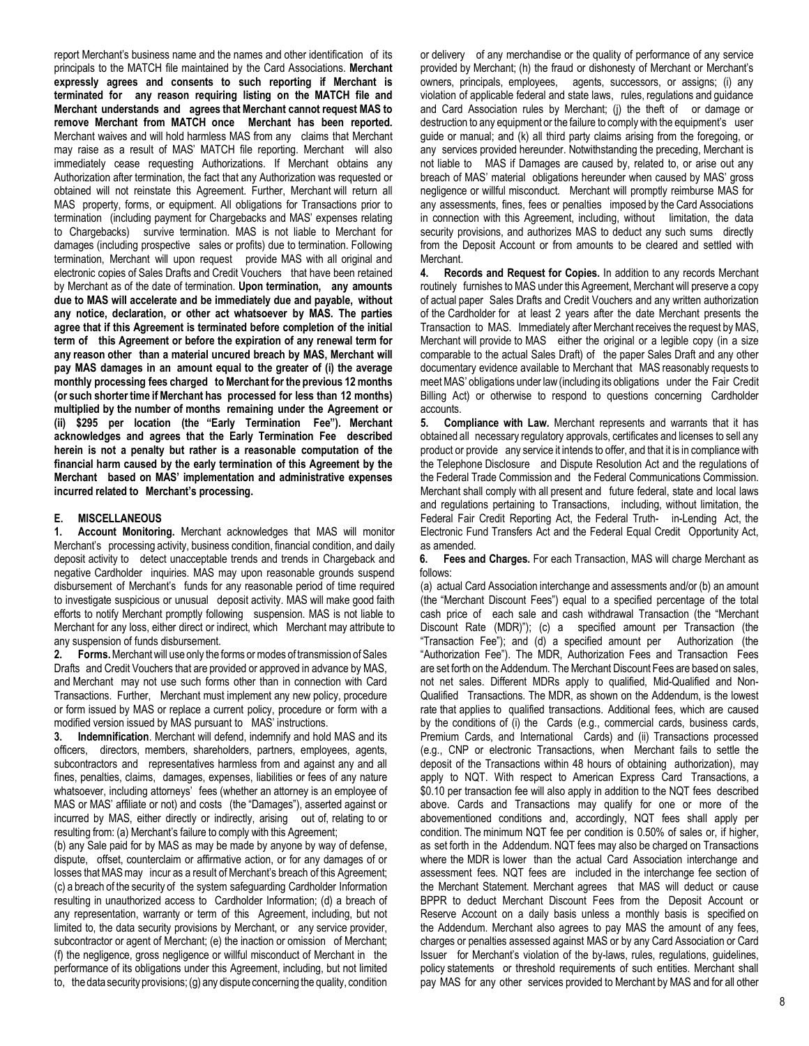report Merchant's business name and the names and other identification of its principals to the MATCH file maintained by the Card Associations. **Merchant expressly agrees and consents to such reporting if Merchant is terminated for any reason requiring listing on the MATCH file and Merchant understands and agrees that Merchant cannot request MAS to remove Merchant from MATCH once Merchant has been reported.** Merchant waives and will hold harmless MAS from any claims that Merchant may raise as a result of MAS' MATCH file reporting. Merchant will also immediately cease requesting Authorizations. If Merchant obtains any Authorization after termination, the fact that any Authorization was requested or obtained will not reinstate this Agreement. Further, Merchant will return all MAS property, forms, or equipment. All obligations for Transactions prior to termination (including payment for Chargebacks and MAS' expenses relating to Chargebacks) survive termination. MAS is not liable to Merchant for damages (including prospective sales or profits) due to termination. Following termination, Merchant will upon request provide MAS with all original and electronic copies of Sales Drafts and Credit Vouchers that have been retained by Merchant as of the date of termination. **Upon termination, any amounts due to MAS will accelerate and be immediately due and payable, without any notice, declaration, or other act whatsoever by MAS. The parties agree that if this Agreement is terminated before completion of the initial term of this Agreement or before the expiration of any renewal term for any reason other than a material uncured breach by MAS, Merchant will pay MAS damages in an amount equal to the greater of (i) the average monthly processing fees charged to Merchant for the previous 12 months (or such shorter time ifMerchant has processed for less than 12 months) multiplied by the number of months remaining under the Agreement or (ii) \$295 per location (the "Early Termination Fee"). Merchant acknowledges and agrees that the Early Termination Fee described herein is not a penalty but rather is a reasonable computation of the financial harm caused by the early termination of this Agreement by the Merchant based on MAS' implementation and administrative expenses incurred related to Merchant's processing.**

### **E. MISCELLANEOUS**

**1. Account Monitoring.** Merchant acknowledges that MAS will monitor Merchant's processing activity, business condition, financial condition, and daily deposit activity to detect unacceptable trends and trends in Chargeback and negative Cardholder inquiries. MAS may upon reasonable grounds suspend disbursement of Merchant's funds for any reasonable period of time required to investigate suspicious or unusual deposit activity. MAS will make good faith efforts to notify Merchant promptly following suspension. MAS is not liable to Merchant for any loss, either direct or indirect, which Merchant may attribute to any suspension of funds disbursement.

**2. Forms.** Merchant will use only the forms or modes of transmission of Sales Drafts and Credit Vouchers that are provided or approved in advance by MAS, and Merchant may not use such forms other than in connection with Card Transactions. Further, Merchant must implement any new policy, procedure or form issued by MAS or replace a current policy, procedure or form with a modified version issued by MAS pursuant to MAS' instructions.

**3. Indemnification**. Merchant will defend, indemnify and hold MAS and its officers, directors, members, shareholders, partners, employees, agents, subcontractors and representatives harmless from and against any and all fines, penalties, claims, damages, expenses, liabilities or fees of any nature whatsoever, including attorneys' fees (whether an attorney is an employee of MAS or MAS' affiliate or not) and costs (the "Damages"), asserted against or incurred by MAS, either directly or indirectly, arising out of, relating to or resulting from: (a) Merchant's failure to comply with this Agreement;

(b) any Sale paid for by MAS as may be made by anyone by way of defense, dispute, offset, counterclaim or affirmative action, or for any damages of or losses that MAS may incur as a result of Merchant's breach of this Agreement; (c) a breach of the security of the system safeguarding Cardholder Information resulting in unauthorized access to Cardholder Information; (d) a breach of any representation, warranty or term of this Agreement, including, but not limited to, the data security provisions by Merchant, or any service provider, subcontractor or agent of Merchant; (e) the inaction or omission of Merchant; (f) the negligence, gross negligence or willful misconduct of Merchant in the performance of its obligations under this Agreement, including, but not limited to, the data security provisions;(g) any dispute concerning the quality, condition or delivery of any merchandise or the quality of performance of any service provided by Merchant; (h) the fraud or dishonesty of Merchant or Merchant's owners, principals, employees, agents, successors, or assigns; (i) any violation of applicable federal and state laws, rules, regulations and guidance and Card Association rules by Merchant; (j) the theft of or damage or destruction to any equipment or the failure to comply with the equipment's user guide or manual; and (k) all third party claims arising from the foregoing, or any services provided hereunder. Notwithstanding the preceding, Merchant is not liable to MAS if Damages are caused by, related to, or arise out any breach of MAS' material obligations hereunder when caused by MAS' gross negligence or willful misconduct. Merchant will promptly reimburse MAS for any assessments, fines, fees or penalties imposed by the Card Associations in connection with this Agreement, including, without limitation, the data security provisions, and authorizes MAS to deduct any such sums directly from the Deposit Account or from amounts to be cleared and settled with Merchant.

**4. Records and Request for Copies.** In addition to any records Merchant routinely furnishes to MAS under this Agreement, Merchant will preserve a copy of actual paper Sales Drafts and Credit Vouchers and any written authorization of the Cardholder for at least 2 years after the date Merchant presents the Transaction to MAS. Immediately after Merchant receives the request by MAS, Merchant will provide to MAS either the original or a legible copy (in a size comparable to the actual Sales Draft) of the paper Sales Draft and any other documentary evidence available to Merchant that MAS reasonably requests to meet MAS' obligations under law (including its obligations under the Fair Credit Billing Act) or otherwise to respond to questions concerning Cardholder accounts.

**5. Compliance with Law.** Merchant represents and warrants that it has obtained all necessary regulatory approvals, certificates and licenses to sell any product or provide any service it intends to offer, and that it is in compliance with the Telephone Disclosure and Dispute Resolution Act and the regulations of the Federal Trade Commission and the Federal Communications Commission. Merchant shall comply with all present and future federal, state and local laws and regulations pertaining to Transactions, including, without limitation, the Federal Fair Credit Reporting Act, the Federal Truth- in-Lending Act, the Electronic Fund Transfers Act and the Federal Equal Credit Opportunity Act, as amended.

**6. Fees and Charges.** For each Transaction, MAS will charge Merchant as follows:

(a) actual Card Association interchange and assessments and/or (b) an amount (the "Merchant Discount Fees") equal to a specified percentage of the total cash price of each sale and cash withdrawal Transaction (the "Merchant Discount Rate (MDR)"); (c) a specified amount per Transaction (the "Transaction Fee"); and (d) a specified amount per Authorization (the "Authorization Fee"). The MDR, Authorization Fees and Transaction Fees are set forth on the Addendum. The Merchant Discount Fees are based on sales, not net sales. Different MDRs apply to qualified, Mid-Qualified and Non-Qualified Transactions. The MDR, as shown on the Addendum, is the lowest rate that applies to qualified transactions. Additional fees, which are caused by the conditions of (i) the Cards (e.g., commercial cards, business cards, Premium Cards, and International Cards) and (ii) Transactions processed (e.g., CNP or electronic Transactions, when Merchant fails to settle the deposit of the Transactions within 48 hours of obtaining authorization), may apply to NQT. With respect to American Express Card Transactions, a \$0.10 per transaction fee will also apply in addition to the NQT fees described above. Cards and Transactions may qualify for one or more of the abovementioned conditions and, accordingly, NQT fees shall apply per condition. The minimum NQT fee per condition is 0.50% of sales or, if higher, as set forth in the Addendum. NQT fees may also be charged on Transactions where the MDR is lower than the actual Card Association interchange and assessment fees. NQT fees are included in the interchange fee section of the Merchant Statement. Merchant agrees that MAS will deduct or cause BPPR to deduct Merchant Discount Fees from the Deposit Account or Reserve Account on a daily basis unless a monthly basis is specified on the Addendum. Merchant also agrees to pay MAS the amount of any fees, charges or penalties assessed against MAS or by any Card Association or Card Issuer for Merchant's violation of the by-laws, rules, regulations, guidelines, policy statements or threshold requirements of such entities. Merchant shall pay MAS for any other services provided to Merchant by MAS and for all other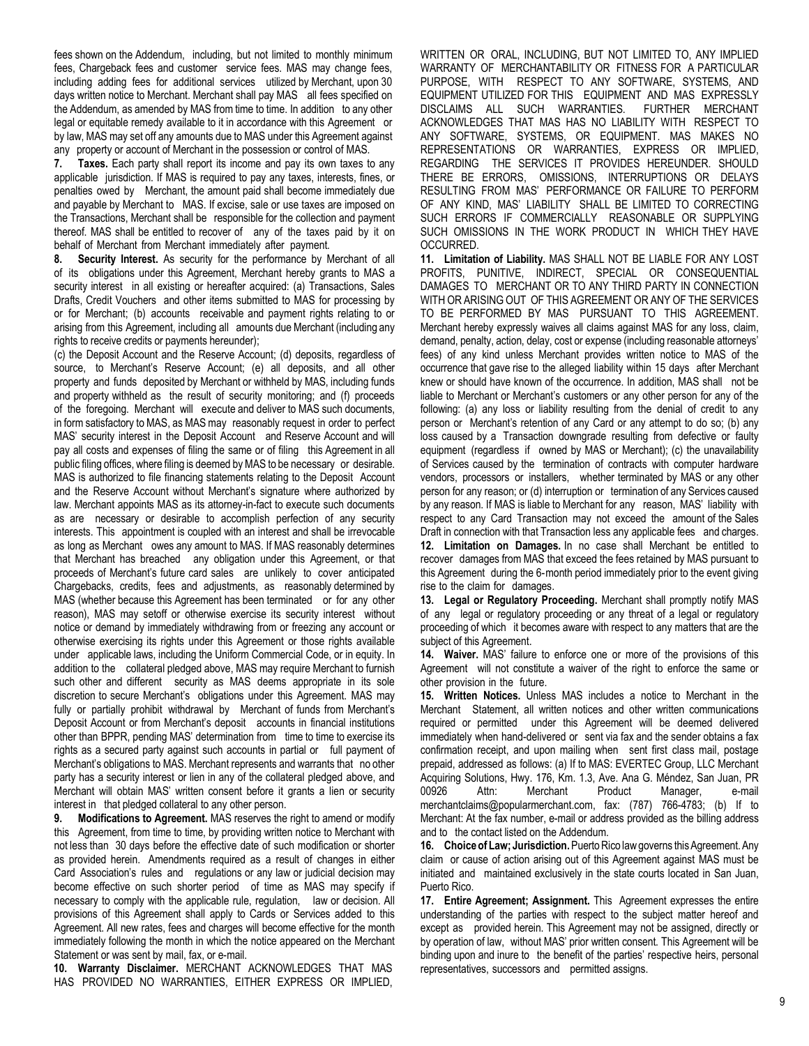fees shown on the Addendum, including, but not limited to monthly minimum fees, Chargeback fees and customer service fees. MAS may change fees, including adding fees for additional services utilized by Merchant, upon 30 days written notice to Merchant. Merchant shall pay MAS all fees specified on the Addendum, as amended by MAS from time to time. In addition to any other legal or equitable remedy available to it in accordance with this Agreement or by law, MAS may set off any amounts due to MAS under this Agreement against any property or account of Merchant in the possession or control of MAS.

**7. Taxes.** Each party shall report its income and pay its own taxes to any applicable jurisdiction. If MAS is required to pay any taxes, interests, fines, or penalties owed by Merchant, the amount paid shall become immediately due and payable by Merchant to MAS. If excise, sale or use taxes are imposed on the Transactions, Merchant shall be responsible for the collection and payment thereof. MAS shall be entitled to recover of any of the taxes paid by it on behalf of Merchant from Merchant immediately after payment.

**8. Security Interest.** As security for the performance by Merchant of all of its obligations under this Agreement, Merchant hereby grants to MAS a security interest in all existing or hereafter acquired: (a) Transactions, Sales Drafts, Credit Vouchers and other items submitted to MAS for processing by or for Merchant; (b) accounts receivable and payment rights relating to or arising from this Agreement, including all amounts due Merchant (including any rights to receive credits or payments hereunder);

(c) the Deposit Account and the Reserve Account; (d) deposits, regardless of source, to Merchant's Reserve Account; (e) all deposits, and all other property and funds deposited by Merchant or withheld by MAS, including funds and property withheld as the result of security monitoring; and (f) proceeds of the foregoing. Merchant will execute and deliver to MAS such documents, in form satisfactory to MAS, as MAS may reasonably request in order to perfect MAS' security interest in the Deposit Account and Reserve Account and will pay all costs and expenses of filing the same or of filing this Agreement in all public filing offices, where filing is deemed byMAS to be necessary or desirable. MAS is authorized to file financing statements relating to the Deposit Account and the Reserve Account without Merchant's signature where authorized by law. Merchant appoints MAS as its attorney-in-fact to execute such documents as are necessary or desirable to accomplish perfection of any security interests. This appointment is coupled with an interest and shall be irrevocable as long as Merchant owes any amount to MAS. If MAS reasonably determines that Merchant has breached any obligation under this Agreement, or that proceeds of Merchant's future card sales are unlikely to cover anticipated Chargebacks, credits, fees and adjustments, as reasonably determined by MAS (whether because this Agreement has been terminated or for any other reason), MAS may setoff or otherwise exercise its security interest without notice or demand by immediately withdrawing from or freezing any account or otherwise exercising its rights under this Agreement or those rights available under applicable laws, including the Uniform Commercial Code, or in equity. In addition to the collateral pledged above, MAS may require Merchant to furnish such other and different security as MAS deems appropriate in its sole discretion to secure Merchant's obligations under this Agreement. MAS may fully or partially prohibit withdrawal by Merchant of funds from Merchant's Deposit Account or from Merchant's deposit accounts in financial institutions other than BPPR, pending MAS' determination from time to time to exercise its rights as a secured party against such accounts in partial or full payment of Merchant's obligations to MAS. Merchant represents and warrants that no other party has a security interest or lien in any of the collateral pledged above, and Merchant will obtain MAS' written consent before it grants a lien or security interest in that pledged collateral to any other person.

**9. Modifications to Agreement.** MAS reserves the right to amend or modify this Agreement, from time to time, by providing written notice to Merchant with not less than 30 days before the effective date of such modification or shorter as provided herein. Amendments required as a result of changes in either Card Association's rules and regulations or any law or judicial decision may become effective on such shorter period of time as MAS may specify if necessary to comply with the applicable rule, regulation, law or decision. All provisions of this Agreement shall apply to Cards or Services added to this Agreement. All new rates, fees and charges will become effective for the month immediately following the month in which the notice appeared on the Merchant Statement or was sent by mail, fax, or e-mail.

**10. Warranty Disclaimer.** MERCHANT ACKNOWLEDGES THAT MAS HAS PROVIDED NO WARRANTIES, EITHER EXPRESS OR IMPLIED,

WRITTEN OR ORAL, INCLUDING, BUT NOT LIMITED TO, ANY IMPLIED WARRANTY OF MERCHANTABILITY OR FITNESS FOR A PARTICULAR PURPOSE, WITH RESPECT TO ANY SOFTWARE, SYSTEMS, AND EQUIPMENT UTILIZED FOR THIS EQUIPMENT AND MAS EXPRESSLY DISCLAIMS ALL SUCH WARRANTIES. FURTHER MERCHANT ACKNOWLEDGES THAT MAS HAS NO LIABILITY WITH RESPECT TO ANY SOFTWARE, SYSTEMS, OR EQUIPMENT. MAS MAKES NO REPRESENTATIONS OR WARRANTIES, EXPRESS OR IMPLIED, REGARDING THE SERVICES IT PROVIDES HEREUNDER. SHOULD THERE BE ERRORS, OMISSIONS, INTERRUPTIONS OR DELAYS RESULTING FROM MAS' PERFORMANCE OR FAILURE TO PERFORM OF ANY KIND, MAS' LIABILITY SHALL BE LIMITED TO CORRECTING SUCH ERRORS IF COMMERCIALLY REASONABLE OR SUPPLYING SUCH OMISSIONS IN THE WORK PRODUCT IN WHICH THEY HAVE OCCURRED.

**11. Limitation of Liability.** MAS SHALL NOT BE LIABLE FOR ANY LOST PROFITS, PUNITIVE, INDIRECT, SPECIAL OR CONSEQUENTIAL DAMAGES TO MERCHANT OR TO ANY THIRD PARTY IN CONNECTION WITH OR ARISING OUT OF THIS AGREEMENT OR ANY OF THE SERVICES TO BE PERFORMED BY MAS PURSUANT TO THIS AGREEMENT. Merchant hereby expressly waives all claims against MAS for any loss, claim, demand, penalty, action, delay, cost or expense (including reasonable attorneys' fees) of any kind unless Merchant provides written notice to MAS of the occurrence that gave rise to the alleged liability within 15 days after Merchant knew or should have known of the occurrence. In addition, MAS shall not be liable to Merchant or Merchant's customers or any other person for any of the following: (a) any loss or liability resulting from the denial of credit to any person or Merchant's retention of any Card or any attempt to do so; (b) any loss caused by a Transaction downgrade resulting from defective or faulty equipment (regardless if owned by MAS or Merchant); (c) the unavailability of Services caused by the termination of contracts with computer hardware vendors, processors or installers, whether terminated by MAS or any other person for any reason; or (d) interruption or termination of any Services caused by any reason. If MAS is liable to Merchant for any reason, MAS' liability with respect to any Card Transaction may not exceed the amount of the Sales Draft in connection with that Transaction less any applicable fees and charges. **12. Limitation on Damages.** In no case shall Merchant be entitled to recover damages from MAS that exceed the fees retained by MAS pursuant to this Agreement during the 6-month period immediately prior to the event giving rise to the claim for damages.

**13. Legal or Regulatory Proceeding.** Merchant shall promptly notify MAS of any legal or regulatory proceeding or any threat of a legal or regulatory proceeding of which it becomes aware with respect to any matters that are the subject of this Agreement.

**14. Waiver.** MAS' failure to enforce one or more of the provisions of this Agreement will not constitute a waiver of the right to enforce the same or other provision in the future.

**15. Written Notices.** Unless MAS includes a notice to Merchant in the Merchant Statement, all written notices and other written communications required or permitted under this Agreement will be deemed delivered immediately when hand-delivered or sent via fax and the sender obtains a fax confirmation receipt, and upon mailing when sent first class mail, postage prepaid, addressed as follows: (a) If to MAS: EVERTEC Group, LLC Merchant Acquiring Solutions, Hwy. 176, Km. 1.3, Ave. Ana G. Méndez, San Juan, PR 00926 Attn: Merchant Product Manager, e-mail merchantclaims@popularmerchant.com, fax: (787) 766-4783; (b) If to Merchant: At the fax number, e-mail or address provided as the billing address and to the contact listed on the Addendum.

16. Choice of Law; Jurisdiction. Puerto Rico law governs this Agreement. Any claim or cause of action arising out of this Agreement against MAS must be initiated and maintained exclusively in the state courts located in San Juan, Puerto Rico.

**17. Entire Agreement; Assignment.** This Agreement expresses the entire understanding of the parties with respect to the subject matter hereof and except as provided herein. This Agreement may not be assigned, directly or by operation of law, without MAS' prior written consent. This Agreement will be binding upon and inure to the benefit of the parties' respective heirs, personal representatives, successors and permitted assigns.